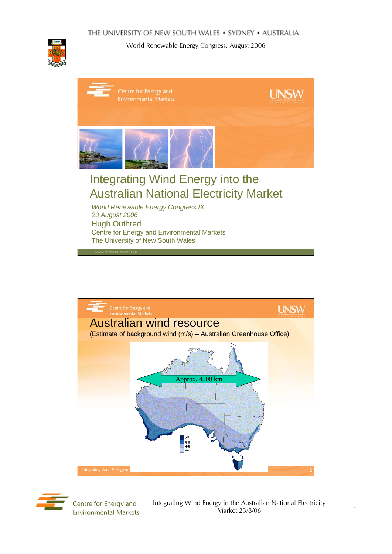







Centre for Energy and **Environmental Markets**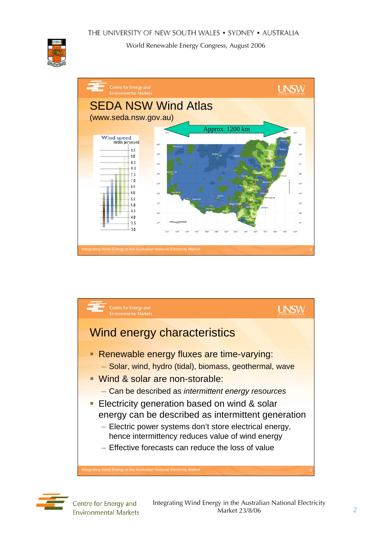







Centre for Energy and **Environmental Markets**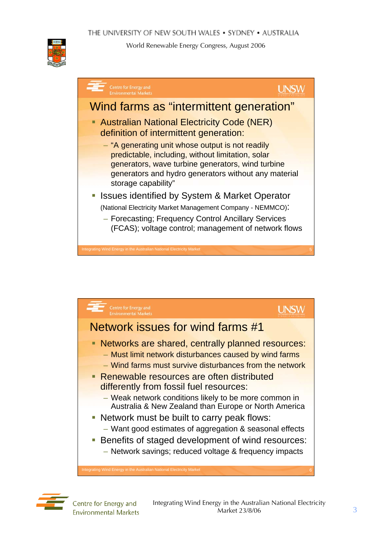



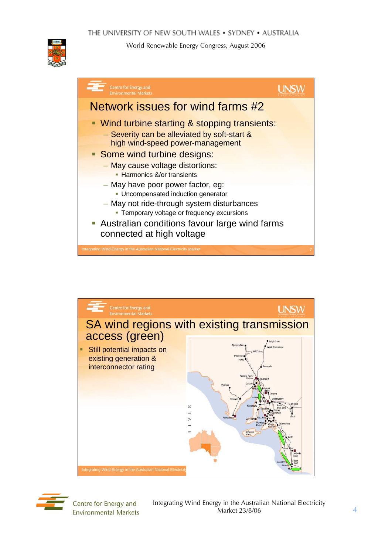







Centre for Energy and **Environmental Markets**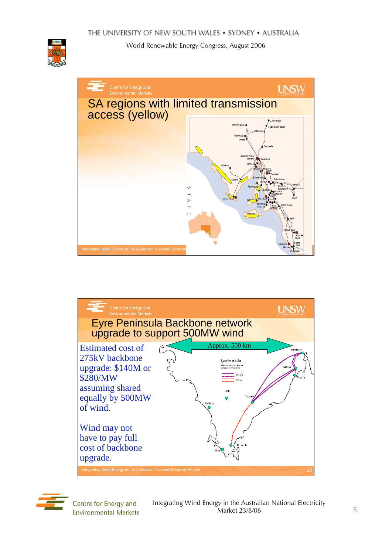







Centre for Energy and **Environmental Markets**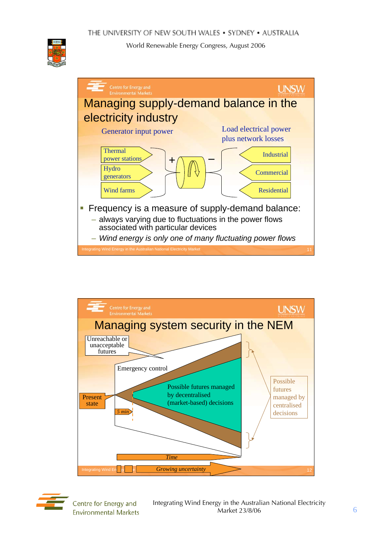







Centre for Energy and **Environmental Markets**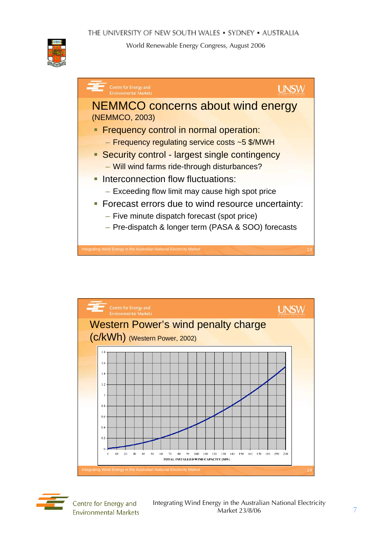

| <b>Centre for Energy and</b><br><b>Environmental Markets</b>                                                                                                                                                                                           |
|--------------------------------------------------------------------------------------------------------------------------------------------------------------------------------------------------------------------------------------------------------|
| <b>NEMMCO concerns about wind energy</b><br>(NEMMCO, 2003)                                                                                                                                                                                             |
| • Frequency control in normal operation:<br>- Frequency regulating service costs ~5 \$/MWH<br>• Security control - largest single contingency<br>- Will wind farms ride-through disturbances?                                                          |
| • Interconnection flow fluctuations:<br>- Exceeding flow limit may cause high spot price<br>• Forecast errors due to wind resource uncertainty:<br>- Five minute dispatch forecast (spot price)<br>- Pre-dispatch & longer term (PASA & SOO) forecasts |
| ntegrating Wind Energy in the Australian National Electricity Market<br>13                                                                                                                                                                             |





Centre for Energy and **Environmental Markets**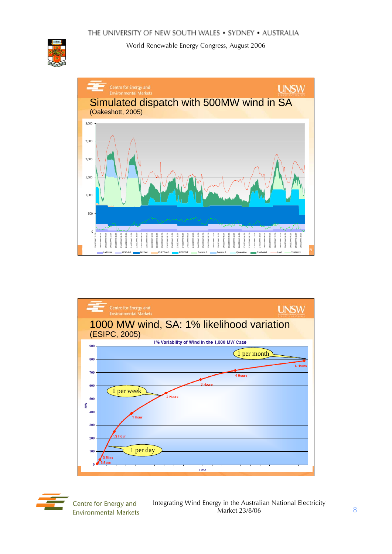







Centre for Energy and **Environmental Markets**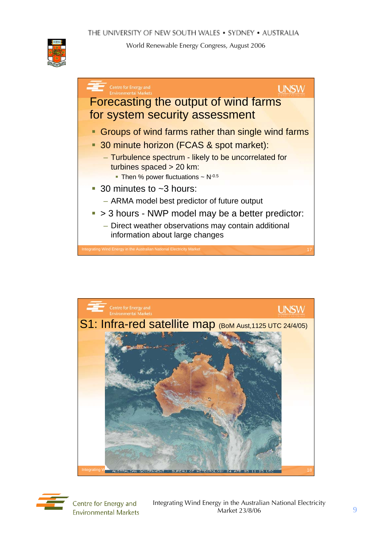







Centre for Energy and **Environmental Markets**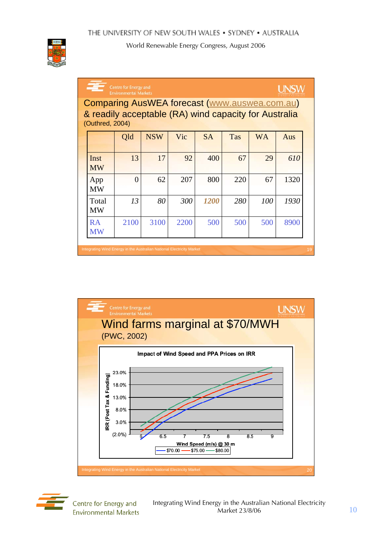

| Centre for Energy and<br><b>Environmental Markets</b>                                                                            |          |            |      |             |     |           |      |  |
|----------------------------------------------------------------------------------------------------------------------------------|----------|------------|------|-------------|-----|-----------|------|--|
| <b>Comparing AusWEA forecast (www.auswea.com.au)</b><br>& readily acceptable (RA) wind capacity for Australia<br>(Outhred, 2004) |          |            |      |             |     |           |      |  |
|                                                                                                                                  | Qld      | <b>NSW</b> | Vic  | <b>SA</b>   | Tas | <b>WA</b> | Aus  |  |
| Inst<br><b>MW</b>                                                                                                                | 13       | 17         | 92   | 400         | 67  | 29        | 610  |  |
| App<br><b>MW</b>                                                                                                                 | $\Omega$ | 62         | 207  | 800         | 220 | 67        | 1320 |  |
| Total<br><b>MW</b>                                                                                                               | 13       | 80         | 300  | <i>1200</i> | 280 | 100       | 1930 |  |
| <b>RA</b><br><b>MW</b>                                                                                                           | 2100     | 3100       | 2200 | 500         | 500 | 500       | 8900 |  |





Centre for Energy and **Environmental Markets**